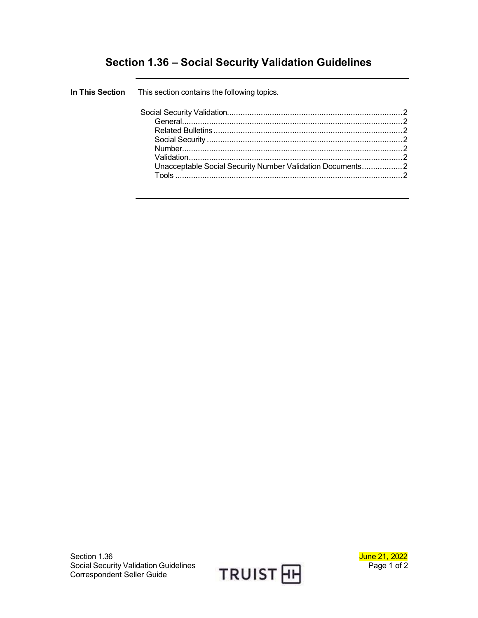## **Section 1.36 – Social Security Validation Guidelines**

| In This Section This section contains the following topics. |  |
|-------------------------------------------------------------|--|
|                                                             |  |
|                                                             |  |
|                                                             |  |
|                                                             |  |
|                                                             |  |
|                                                             |  |
| Unacceptable Social Security Number Validation Documents2   |  |
| Tools                                                       |  |